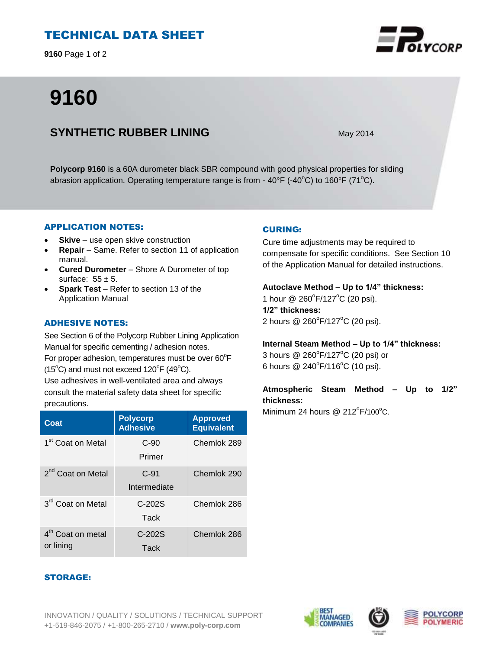# TECHNICAL DATA SHEET

**9160** Page 1 of 2

# **9160**

# **SYNTHETIC RUBBER LINING** May 2014

**Polycorp 9160** is a 60A durometer black SBR compound with good physical properties for sliding abrasion application. Operating temperature range is from -  $40^{\circ}F$  (- $40^{\circ}C$ ) to  $160^{\circ}F$  (71<sup>o</sup>C).

#### APPLICATION NOTES:

- **Skive** use open skive construction
- **Repair**  Same. Refer to section 11 of application manual.
- **Cured Durometer**  Shore A Durometer of top surface:  $55 \pm 5$ .
- **Spark Test**  Refer to section 13 of the Application Manual

#### ADHESIVE NOTES:

See Section 6 of the Polycorp Rubber Lining Application Manual for specific cementing / adhesion notes. For proper adhesion, temperatures must be over  $60^{\circ}$ F  $(15^{\circ}C)$  and must not exceed  $120^{\circ}F(49^{\circ}C)$ .

Use adhesives in well-ventilated area and always consult the material safety data sheet for specific precautions.

| Coat                                       | <b>Polycorp</b><br><b>Adhesive</b> | <b>Approved</b><br><b>Equivalent</b> |
|--------------------------------------------|------------------------------------|--------------------------------------|
| 1 <sup>st</sup> Coat on Metal              | $C-90$<br>Primer                   | Chemlok 289                          |
| 2 <sup>nd</sup> Coat on Metal              | $C-91$<br>Intermediate             | Chemlok 290                          |
| 3 <sup>rd</sup> Coat on Metal              | $C-202S$<br>Tack                   | Chemlok 286                          |
| 4 <sup>th</sup> Coat on metal<br>or lining | $C-202S$<br>Tack                   | Chemlok 286                          |

#### CURING:

Cure time adjustments may be required to compensate for specific conditions. See Section 10 of the Application Manual for detailed instructions.

#### **Autoclave Method – Up to 1/4" thickness:**

1 hour @ 260°F/127°C (20 psi). **1/2" thickness:** 2 hours @ 260°F/127°C (20 psi).

#### **Internal Steam Method – Up to 1/4" thickness:**

3 hours  $@$  260 $^{\circ}$ F/127 $^{\circ}$ C (20 psi) or 6 hours  $@ 240^{\circ}F/116^{\circ}C$  (10 psi).

### **Atmospheric Steam Method – Up to 1/2" thickness:**

Minimum 24 hours  $@$  212 $^{\circ}$ F/100 $^{\circ}$ C.